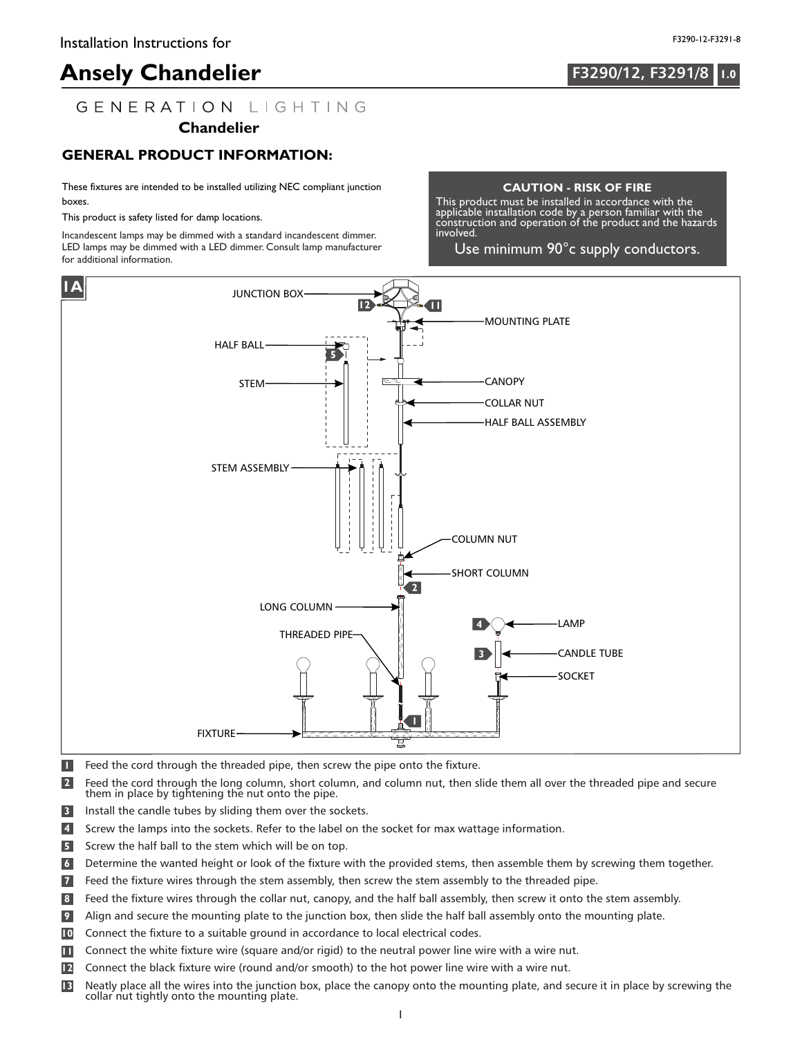## **F3290/12, F3291/8**

## GENERATION LIGHTING

#### **Chandelier**

#### **GENERAL PRODUCT INFORMATION:**

These fixtures are intended to be installed utilizing NEC compliant junction boxes.

This product is safety listed for damp locations.

Incandescent lamps may be dimmed with a standard incandescent dimmer. LED lamps may be dimmed with a LED dimmer. Consult lamp manufacturer for additional information.

#### **CAUTION - RISK OF FIRE**

This product must be installed in accordance with the applicable installation code by a person familiar with the construction and operation of the product and the hazards involved.

Use minimum 90°c supply conductors.



- **1** Feed the cord through the threaded pipe, then screw the pipe onto the fixture.
- **2** Feed the cord through the long column, short column, and column nut, then slide them all over the threaded pipe and secure them in place by tightening the nut onto the pipe.
- **3** Install the candle tubes by sliding them over the sockets.
- **4** Screw the lamps into the sockets. Refer to the label on the socket for max wattage information.
- **5** Screw the half ball to the stem which will be on top.
- **6** Determine the wanted height or look of the fixture with the provided stems, then assemble them by screwing them together.
- **7** Feed the fixture wires through the stem assembly, then screw the stem assembly to the threaded pipe.
- **8** Feed the fixture wires through the collar nut, canopy, and the half ball assembly, then screw it onto the stem assembly.
- Align and secure the mounting plate to the junction box, then slide the half ball assembly onto the mounting plate. **9**
- Connect the fixture to a suitable ground in accordance to local electrical codes. **10**
- Connect the white fixture wire (square and/or rigid) to the neutral power line wire with a wire nut. **11**
- Connect the black fixture wire (round and/or smooth) to the hot power line wire with a wire nut. **12**
- Neatly place all the wires into the junction box, place the canopy onto the mounting plate, and secure it in place by screwing the collar nut tightly onto the mounting plate. **13**